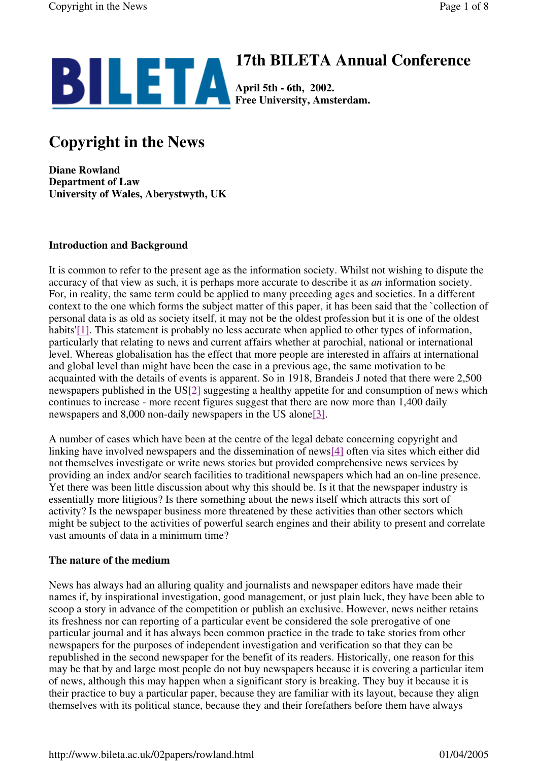

# **17th BILETA Annual Conference**

**April 5th - 6th, 2002. Free University, Amsterdam.**

## **Copyright in the News**

**Diane Rowland Department of Law University of Wales, Aberystwyth, UK**

### **Introduction and Background**

It is common to refer to the present age as the information society. Whilst not wishing to dispute the accuracy of that view as such, it is perhaps more accurate to describe it as *an* information society. For, in reality, the same term could be applied to many preceding ages and societies. In a different context to the one which forms the subject matter of this paper, it has been said that the `collection of personal data is as old as society itself, it may not be the oldest profession but it is one of the oldest habits'[1]. This statement is probably no less accurate when applied to other types of information, particularly that relating to news and current affairs whether at parochial, national or international level. Whereas globalisation has the effect that more people are interested in affairs at international and global level than might have been the case in a previous age, the same motivation to be acquainted with the details of events is apparent. So in 1918, Brandeis J noted that there were 2,500 newspapers published in the US[2] suggesting a healthy appetite for and consumption of news which continues to increase - more recent figures suggest that there are now more than 1,400 daily newspapers and 8,000 non-daily newspapers in the US alone[3].

A number of cases which have been at the centre of the legal debate concerning copyright and linking have involved newspapers and the dissemination of news[4] often via sites which either did not themselves investigate or write news stories but provided comprehensive news services by providing an index and/or search facilities to traditional newspapers which had an on-line presence. Yet there was been little discussion about why this should be. Is it that the newspaper industry is essentially more litigious? Is there something about the news itself which attracts this sort of activity? Is the newspaper business more threatened by these activities than other sectors which might be subject to the activities of powerful search engines and their ability to present and correlate vast amounts of data in a minimum time?

#### **The nature of the medium**

News has always had an alluring quality and journalists and newspaper editors have made their names if, by inspirational investigation, good management, or just plain luck, they have been able to scoop a story in advance of the competition or publish an exclusive. However, news neither retains its freshness nor can reporting of a particular event be considered the sole prerogative of one particular journal and it has always been common practice in the trade to take stories from other newspapers for the purposes of independent investigation and verification so that they can be republished in the second newspaper for the benefit of its readers. Historically, one reason for this may be that by and large most people do not buy newspapers because it is covering a particular item of news, although this may happen when a significant story is breaking. They buy it because it is their practice to buy a particular paper, because they are familiar with its layout, because they align themselves with its political stance, because they and their forefathers before them have always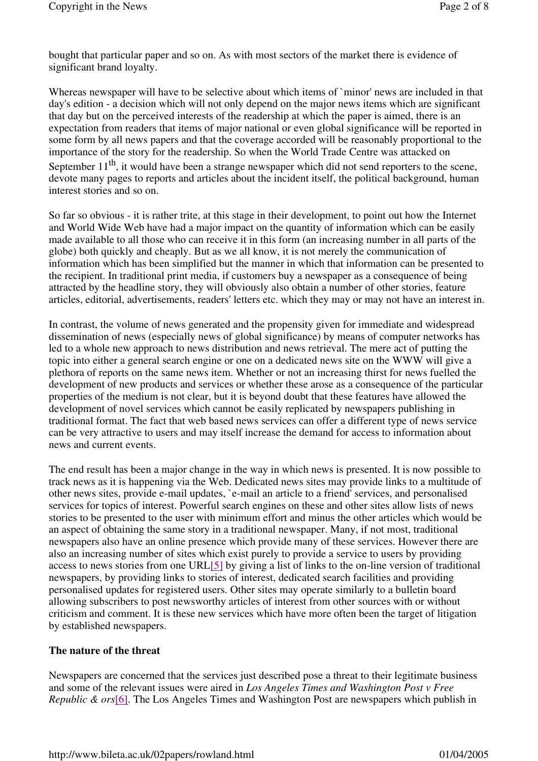bought that particular paper and so on. As with most sectors of the market there is evidence of significant brand loyalty.

Whereas newspaper will have to be selective about which items of `minor' news are included in that day's edition - a decision which will not only depend on the major news items which are significant that day but on the perceived interests of the readership at which the paper is aimed, there is an expectation from readers that items of major national or even global significance will be reported in some form by all news papers and that the coverage accorded will be reasonably proportional to the importance of the story for the readership. So when the World Trade Centre was attacked on September  $11<sup>th</sup>$ , it would have been a strange newspaper which did not send reporters to the scene, devote many pages to reports and articles about the incident itself, the political background, human interest stories and so on.

So far so obvious - it is rather trite, at this stage in their development, to point out how the Internet and World Wide Web have had a major impact on the quantity of information which can be easily made available to all those who can receive it in this form (an increasing number in all parts of the globe) both quickly and cheaply. But as we all know, it is not merely the communication of information which has been simplified but the manner in which that information can be presented to the recipient. In traditional print media, if customers buy a newspaper as a consequence of being attracted by the headline story, they will obviously also obtain a number of other stories, feature articles, editorial, advertisements, readers' letters etc. which they may or may not have an interest in.

In contrast, the volume of news generated and the propensity given for immediate and widespread dissemination of news (especially news of global significance) by means of computer networks has led to a whole new approach to news distribution and news retrieval. The mere act of putting the topic into either a general search engine or one on a dedicated news site on the WWW will give a plethora of reports on the same news item. Whether or not an increasing thirst for news fuelled the development of new products and services or whether these arose as a consequence of the particular properties of the medium is not clear, but it is beyond doubt that these features have allowed the development of novel services which cannot be easily replicated by newspapers publishing in traditional format. The fact that web based news services can offer a different type of news service can be very attractive to users and may itself increase the demand for access to information about news and current events.

The end result has been a major change in the way in which news is presented. It is now possible to track news as it is happening via the Web. Dedicated news sites may provide links to a multitude of other news sites, provide e-mail updates, `e-mail an article to a friend' services, and personalised services for topics of interest. Powerful search engines on these and other sites allow lists of news stories to be presented to the user with minimum effort and minus the other articles which would be an aspect of obtaining the same story in a traditional newspaper. Many, if not most, traditional newspapers also have an online presence which provide many of these services. However there are also an increasing number of sites which exist purely to provide a service to users by providing access to news stories from one URL[5] by giving a list of links to the on-line version of traditional newspapers, by providing links to stories of interest, dedicated search facilities and providing personalised updates for registered users. Other sites may operate similarly to a bulletin board allowing subscribers to post newsworthy articles of interest from other sources with or without criticism and comment. It is these new services which have more often been the target of litigation by established newspapers.

#### **The nature of the threat**

Newspapers are concerned that the services just described pose a threat to their legitimate business and some of the relevant issues were aired in *Los Angeles Times and Washington Post v Free Republic & ors*[6]. The Los Angeles Times and Washington Post are newspapers which publish in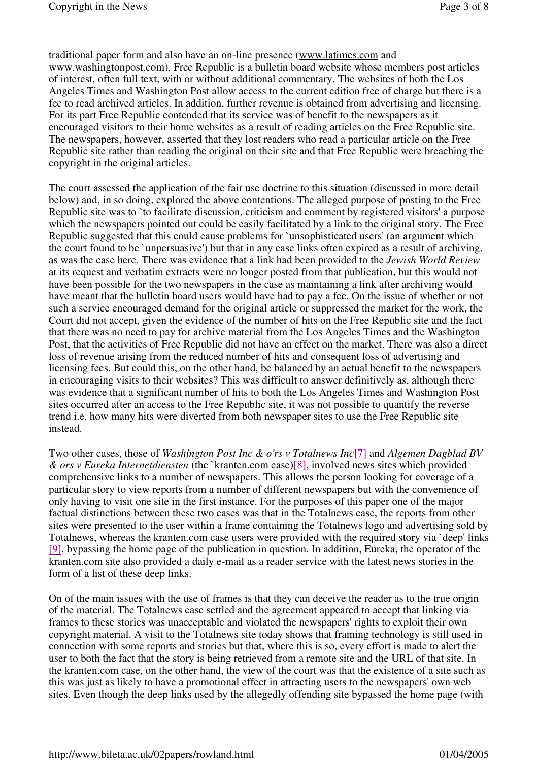traditional paper form and also have an on-line presence (www.latimes.com and www.washingtonpost.com). Free Republic is a bulletin board website whose members post articles of interest, often full text, with or without additional commentary. The websites of both the Los Angeles Times and Washington Post allow access to the current edition free of charge but there is a fee to read archived articles. In addition, further revenue is obtained from advertising and licensing. For its part Free Republic contended that its service was of benefit to the newspapers as it encouraged visitors to their home websites as a result of reading articles on the Free Republic site. The newspapers, however, asserted that they lost readers who read a particular article on the Free Republic site rather than reading the original on their site and that Free Republic were breaching the copyright in the original articles.

The court assessed the application of the fair use doctrine to this situation (discussed in more detail below) and, in so doing, explored the above contentions. The alleged purpose of posting to the Free Republic site was to `to facilitate discussion, criticism and comment by registered visitors' a purpose which the newspapers pointed out could be easily facilitated by a link to the original story. The Free Republic suggested that this could cause problems for `unsophisticated users' (an argument which the court found to be `unpersuasive') but that in any case links often expired as a result of archiving, as was the case here. There was evidence that a link had been provided to the *Jewish World Review* at its request and verbatim extracts were no longer posted from that publication, but this would not have been possible for the two newspapers in the case as maintaining a link after archiving would have meant that the bulletin board users would have had to pay a fee. On the issue of whether or not such a service encouraged demand for the original article or suppressed the market for the work, the Court did not accept, given the evidence of the number of hits on the Free Republic site and the fact that there was no need to pay for archive material from the Los Angeles Times and the Washington Post, that the activities of Free Republic did not have an effect on the market. There was also a direct loss of revenue arising from the reduced number of hits and consequent loss of advertising and licensing fees. But could this, on the other hand, be balanced by an actual benefit to the newspapers in encouraging visits to their websites? This was difficult to answer definitively as, although there was evidence that a significant number of hits to both the Los Angeles Times and Washington Post sites occurred after an access to the Free Republic site, it was not possible to quantify the reverse trend i.e. how many hits were diverted from both newspaper sites to use the Free Republic site instead.

Two other cases, those of *Washington Post Inc & o'rs v Totalnews Inc*[7] and *Algemen Dagblad BV & ors v Eureka Internetdiensten* (the `kranten.com case)[8], involved news sites which provided comprehensive links to a number of newspapers. This allows the person looking for coverage of a particular story to view reports from a number of different newspapers but with the convenience of only having to visit one site in the first instance. For the purposes of this paper one of the major factual distinctions between these two cases was that in the Totalnews case, the reports from other sites were presented to the user within a frame containing the Totalnews logo and advertising sold by Totalnews, whereas the kranten.com case users were provided with the required story via `deep' links [9], bypassing the home page of the publication in question. In addition, Eureka, the operator of the kranten.com site also provided a daily e-mail as a reader service with the latest news stories in the form of a list of these deep links.

On of the main issues with the use of frames is that they can deceive the reader as to the true origin of the material. The Totalnews case settled and the agreement appeared to accept that linking via frames to these stories was unacceptable and violated the newspapers' rights to exploit their own copyright material. A visit to the Totalnews site today shows that framing technology is still used in connection with some reports and stories but that, where this is so, every effort is made to alert the user to both the fact that the story is being retrieved from a remote site and the URL of that site. In the kranten.com case, on the other hand, the view of the court was that the existence of a site such as this was just as likely to have a promotional effect in attracting users to the newspapers' own web sites. Even though the deep links used by the allegedly offending site bypassed the home page (with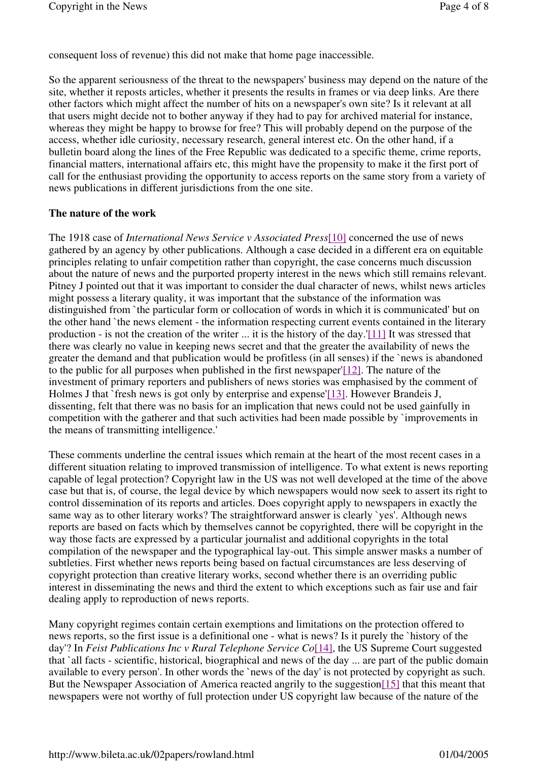consequent loss of revenue) this did not make that home page inaccessible.

So the apparent seriousness of the threat to the newspapers' business may depend on the nature of the site, whether it reposts articles, whether it presents the results in frames or via deep links. Are there other factors which might affect the number of hits on a newspaper's own site? Is it relevant at all that users might decide not to bother anyway if they had to pay for archived material for instance, whereas they might be happy to browse for free? This will probably depend on the purpose of the access, whether idle curiosity, necessary research, general interest etc. On the other hand, if a bulletin board along the lines of the Free Republic was dedicated to a specific theme, crime reports, financial matters, international affairs etc, this might have the propensity to make it the first port of call for the enthusiast providing the opportunity to access reports on the same story from a variety of news publications in different jurisdictions from the one site.

#### **The nature of the work**

The 1918 case of *International News Service v Associated Press*[10] concerned the use of news gathered by an agency by other publications. Although a case decided in a different era on equitable principles relating to unfair competition rather than copyright, the case concerns much discussion about the nature of news and the purported property interest in the news which still remains relevant. Pitney J pointed out that it was important to consider the dual character of news, whilst news articles might possess a literary quality, it was important that the substance of the information was distinguished from `the particular form or collocation of words in which it is communicated' but on the other hand `the news element - the information respecting current events contained in the literary production - is not the creation of the writer ... it is the history of the day.'[11] It was stressed that there was clearly no value in keeping news secret and that the greater the availability of news the greater the demand and that publication would be profitless (in all senses) if the `news is abandoned to the public for all purposes when published in the first newspaper $[12]$ . The nature of the investment of primary reporters and publishers of news stories was emphasised by the comment of Holmes J that `fresh news is got only by enterprise and expense'[13]. However Brandeis J, dissenting, felt that there was no basis for an implication that news could not be used gainfully in competition with the gatherer and that such activities had been made possible by `improvements in the means of transmitting intelligence.'

These comments underline the central issues which remain at the heart of the most recent cases in a different situation relating to improved transmission of intelligence. To what extent is news reporting capable of legal protection? Copyright law in the US was not well developed at the time of the above case but that is, of course, the legal device by which newspapers would now seek to assert its right to control dissemination of its reports and articles. Does copyright apply to newspapers in exactly the same way as to other literary works? The straightforward answer is clearly `yes'. Although news reports are based on facts which by themselves cannot be copyrighted, there will be copyright in the way those facts are expressed by a particular journalist and additional copyrights in the total compilation of the newspaper and the typographical lay-out. This simple answer masks a number of subtleties. First whether news reports being based on factual circumstances are less deserving of copyright protection than creative literary works, second whether there is an overriding public interest in disseminating the news and third the extent to which exceptions such as fair use and fair dealing apply to reproduction of news reports.

Many copyright regimes contain certain exemptions and limitations on the protection offered to news reports, so the first issue is a definitional one - what is news? Is it purely the `history of the day'? In *Feist Publications Inc v Rural Telephone Service Co*[14], the US Supreme Court suggested that `all facts - scientific, historical, biographical and news of the day ... are part of the public domain available to every person'. In other words the `news of the day' is not protected by copyright as such. But the Newspaper Association of America reacted angrily to the suggestion[15] that this meant that newspapers were not worthy of full protection under US copyright law because of the nature of the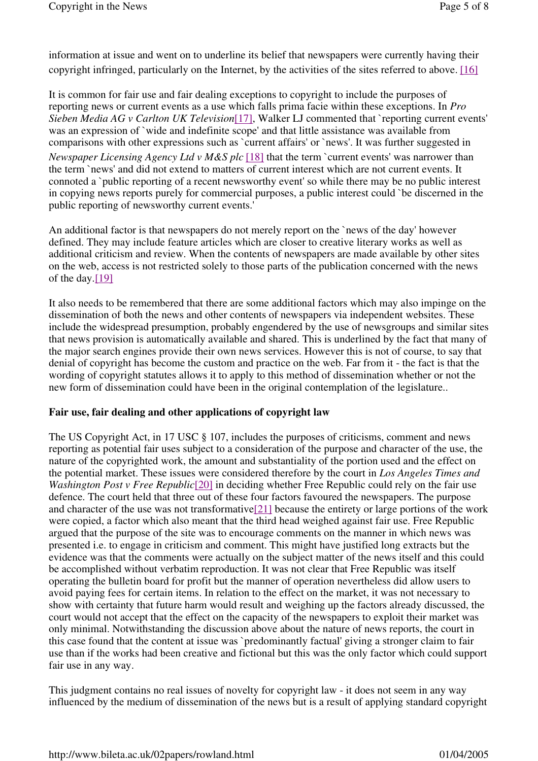information at issue and went on to underline its belief that newspapers were currently having their copyright infringed, particularly on the Internet, by the activities of the sites referred to above. [16]

It is common for fair use and fair dealing exceptions to copyright to include the purposes of reporting news or current events as a use which falls prima facie within these exceptions. In *Pro Sieben Media AG v Carlton UK Television*[17], Walker LJ commented that `reporting current events' was an expression of `wide and indefinite scope' and that little assistance was available from comparisons with other expressions such as `current affairs' or `news'. It was further suggested in *Newspaper Licensing Agency Ltd v M&S plc* [18] that the term `current events' was narrower than the term `news' and did not extend to matters of current interest which are not current events. It connoted a `public reporting of a recent newsworthy event' so while there may be no public interest in copying news reports purely for commercial purposes, a public interest could `be discerned in the public reporting of newsworthy current events.'

An additional factor is that newspapers do not merely report on the `news of the day' however defined. They may include feature articles which are closer to creative literary works as well as additional criticism and review. When the contents of newspapers are made available by other sites on the web, access is not restricted solely to those parts of the publication concerned with the news of the day.[19]

It also needs to be remembered that there are some additional factors which may also impinge on the dissemination of both the news and other contents of newspapers via independent websites. These include the widespread presumption, probably engendered by the use of newsgroups and similar sites that news provision is automatically available and shared. This is underlined by the fact that many of the major search engines provide their own news services. However this is not of course, to say that denial of copyright has become the custom and practice on the web. Far from it - the fact is that the wording of copyright statutes allows it to apply to this method of dissemination whether or not the new form of dissemination could have been in the original contemplation of the legislature..

#### **Fair use, fair dealing and other applications of copyright law**

The US Copyright Act, in 17 USC § 107, includes the purposes of criticisms, comment and news reporting as potential fair uses subject to a consideration of the purpose and character of the use, the nature of the copyrighted work, the amount and substantiality of the portion used and the effect on the potential market. These issues were considered therefore by the court in *Los Angeles Times and Washington Post v Free Republic*[20] in deciding whether Free Republic could rely on the fair use defence. The court held that three out of these four factors favoured the newspapers. The purpose and character of the use was not transformative[21] because the entirety or large portions of the work were copied, a factor which also meant that the third head weighed against fair use. Free Republic argued that the purpose of the site was to encourage comments on the manner in which news was presented i.e. to engage in criticism and comment. This might have justified long extracts but the evidence was that the comments were actually on the subject matter of the news itself and this could be accomplished without verbatim reproduction. It was not clear that Free Republic was itself operating the bulletin board for profit but the manner of operation nevertheless did allow users to avoid paying fees for certain items. In relation to the effect on the market, it was not necessary to show with certainty that future harm would result and weighing up the factors already discussed, the court would not accept that the effect on the capacity of the newspapers to exploit their market was only minimal. Notwithstanding the discussion above about the nature of news reports, the court in this case found that the content at issue was `predominantly factual' giving a stronger claim to fair use than if the works had been creative and fictional but this was the only factor which could support fair use in any way.

This judgment contains no real issues of novelty for copyright law - it does not seem in any way influenced by the medium of dissemination of the news but is a result of applying standard copyright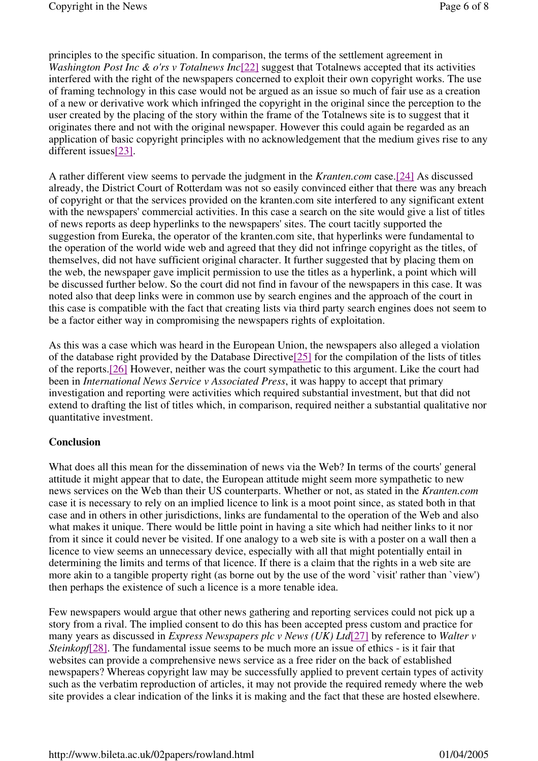principles to the specific situation. In comparison, the terms of the settlement agreement in *Washington Post Inc & o'rs v Totalnews Inc*[22] suggest that Totalnews accepted that its activities interfered with the right of the newspapers concerned to exploit their own copyright works. The use of framing technology in this case would not be argued as an issue so much of fair use as a creation of a new or derivative work which infringed the copyright in the original since the perception to the user created by the placing of the story within the frame of the Totalnews site is to suggest that it originates there and not with the original newspaper. However this could again be regarded as an application of basic copyright principles with no acknowledgement that the medium gives rise to any different issues[23].

A rather different view seems to pervade the judgment in the *Kranten.com* case.[24] As discussed already, the District Court of Rotterdam was not so easily convinced either that there was any breach of copyright or that the services provided on the kranten.com site interfered to any significant extent with the newspapers' commercial activities. In this case a search on the site would give a list of titles of news reports as deep hyperlinks to the newspapers' sites. The court tacitly supported the suggestion from Eureka, the operator of the kranten.com site, that hyperlinks were fundamental to the operation of the world wide web and agreed that they did not infringe copyright as the titles, of themselves, did not have sufficient original character. It further suggested that by placing them on the web, the newspaper gave implicit permission to use the titles as a hyperlink, a point which will be discussed further below. So the court did not find in favour of the newspapers in this case. It was noted also that deep links were in common use by search engines and the approach of the court in this case is compatible with the fact that creating lists via third party search engines does not seem to be a factor either way in compromising the newspapers rights of exploitation.

As this was a case which was heard in the European Union, the newspapers also alleged a violation of the database right provided by the Database Directive[25] for the compilation of the lists of titles of the reports.[26] However, neither was the court sympathetic to this argument. Like the court had been in *International News Service v Associated Press*, it was happy to accept that primary investigation and reporting were activities which required substantial investment, but that did not extend to drafting the list of titles which, in comparison, required neither a substantial qualitative nor quantitative investment.

#### **Conclusion**

What does all this mean for the dissemination of news via the Web? In terms of the courts' general attitude it might appear that to date, the European attitude might seem more sympathetic to new news services on the Web than their US counterparts. Whether or not, as stated in the *Kranten.com* case it is necessary to rely on an implied licence to link is a moot point since, as stated both in that case and in others in other jurisdictions, links are fundamental to the operation of the Web and also what makes it unique. There would be little point in having a site which had neither links to it nor from it since it could never be visited. If one analogy to a web site is with a poster on a wall then a licence to view seems an unnecessary device, especially with all that might potentially entail in determining the limits and terms of that licence. If there is a claim that the rights in a web site are more akin to a tangible property right (as borne out by the use of the word `visit' rather than `view') then perhaps the existence of such a licence is a more tenable idea.

Few newspapers would argue that other news gathering and reporting services could not pick up a story from a rival. The implied consent to do this has been accepted press custom and practice for many years as discussed in *Express Newspapers plc v News (UK) Ltd*[27] by reference to *Walter v Steinkopf*[28]. The fundamental issue seems to be much more an issue of ethics - is it fair that websites can provide a comprehensive news service as a free rider on the back of established newspapers? Whereas copyright law may be successfully applied to prevent certain types of activity such as the verbatim reproduction of articles, it may not provide the required remedy where the web site provides a clear indication of the links it is making and the fact that these are hosted elsewhere.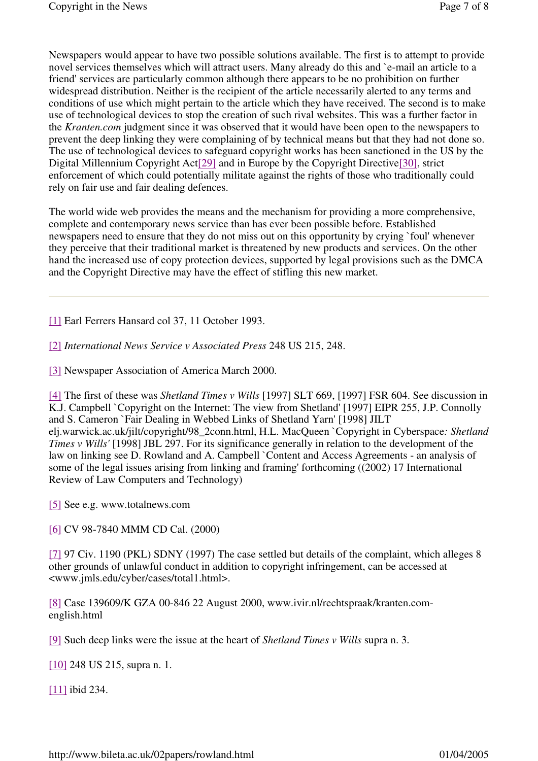Newspapers would appear to have two possible solutions available. The first is to attempt to provide novel services themselves which will attract users. Many already do this and `e-mail an article to a friend' services are particularly common although there appears to be no prohibition on further widespread distribution. Neither is the recipient of the article necessarily alerted to any terms and conditions of use which might pertain to the article which they have received. The second is to make use of technological devices to stop the creation of such rival websites. This was a further factor in the *Kranten.com* judgment since it was observed that it would have been open to the newspapers to prevent the deep linking they were complaining of by technical means but that they had not done so. The use of technological devices to safeguard copyright works has been sanctioned in the US by the Digital Millennium Copyright Act[29] and in Europe by the Copyright Directive[30], strict enforcement of which could potentially militate against the rights of those who traditionally could rely on fair use and fair dealing defences.

The world wide web provides the means and the mechanism for providing a more comprehensive, complete and contemporary news service than has ever been possible before. Established newspapers need to ensure that they do not miss out on this opportunity by crying `foul' whenever they perceive that their traditional market is threatened by new products and services. On the other hand the increased use of copy protection devices, supported by legal provisions such as the DMCA and the Copyright Directive may have the effect of stifling this new market.

[1] Earl Ferrers Hansard col 37, 11 October 1993.

[2] *International News Service v Associated Press* 248 US 215, 248.

[3] Newspaper Association of America March 2000.

[4] The first of these was *Shetland Times v Wills* [1997] SLT 669, [1997] FSR 604. See discussion in K.J. Campbell `Copyright on the Internet: The view from Shetland' [1997] EIPR 255, J.P. Connolly and S. Cameron `Fair Dealing in Webbed Links of Shetland Yarn' [1998] JILT elj.warwick.ac.uk/jilt/copyright/98\_2conn.html, H.L. MacQueen `Copyright in Cyberspace*: Shetland Times v Wills'* [1998] JBL 297. For its significance generally in relation to the development of the law on linking see D. Rowland and A. Campbell `Content and Access Agreements - an analysis of some of the legal issues arising from linking and framing' forthcoming ((2002) 17 International Review of Law Computers and Technology)

[5] See e.g. www.totalnews.com

[6] CV 98-7840 MMM CD Cal. (2000)

[7] 97 Civ. 1190 (PKL) SDNY (1997) The case settled but details of the complaint, which alleges 8 other grounds of unlawful conduct in addition to copyright infringement, can be accessed at <www.jmls.edu/cyber/cases/total1.html>.

[8] Case 139609/K GZA 00-846 22 August 2000, www.ivir.nl/rechtspraak/kranten.comenglish.html

[9] Such deep links were the issue at the heart of *Shetland Times v Wills* supra n. 3.

[10] 248 US 215, supra n. 1.

[11] ibid 234.